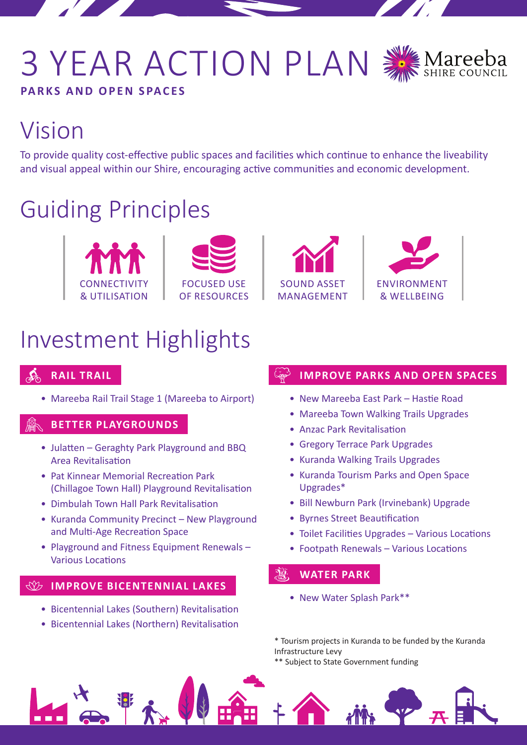## 3 YEAR ACTION PLAN **PARKS AND OPEN SPACES**



## Vision

To provide quality cost-effective public spaces and facilities which continue to enhance the liveability and visual appeal within our Shire, encouraging active communities and economic development.

## Guiding Principles









## Investment Highlights

### **RAIL TRAIL**

• Mareeba Rail Trail Stage 1 (Mareeba to Airport)

#### **BETTER PLAYGROUNDS**

- Julatten Geraghty Park Playground and BBQ Area Revitalisation
- Pat Kinnear Memorial Recreation Park (Chillagoe Town Hall) Playground Revitalisation
- Dimbulah Town Hall Park Revitalisation
- Kuranda Community Precinct New Playground and Multi-Age Recreation Space
- Playground and Fitness Equipment Renewals Various Locations

#### **IMPROVE BICENTENNIAL LAKES**

- Bicentennial Lakes (Southern) Revitalisation
- Bicentennial Lakes (Northern) Revitalisation

#### **IMPROVE PARKS AND OPEN SPACES**

- New Mareeba East Park Hastie Road
- Mareeba Town Walking Trails Upgrades
- Anzac Park Revitalisation
- Gregory Terrace Park Upgrades
- Kuranda Walking Trails Upgrades
- Kuranda Tourism Parks and Open Space Upgrades\*
- Bill Newburn Park (Irvinebank) Upgrade
- Byrnes Street Beautification
- Toilet Facilities Upgrades Various Locations
- Footpath Renewals Various Locations

#### $20.$ **WATER PARK**

• New Water Splash Park\*\*

\* Tourism projects in Kuranda to be funded by the Kuranda Infrastructure Levy

\*\* Subject to State Government funding